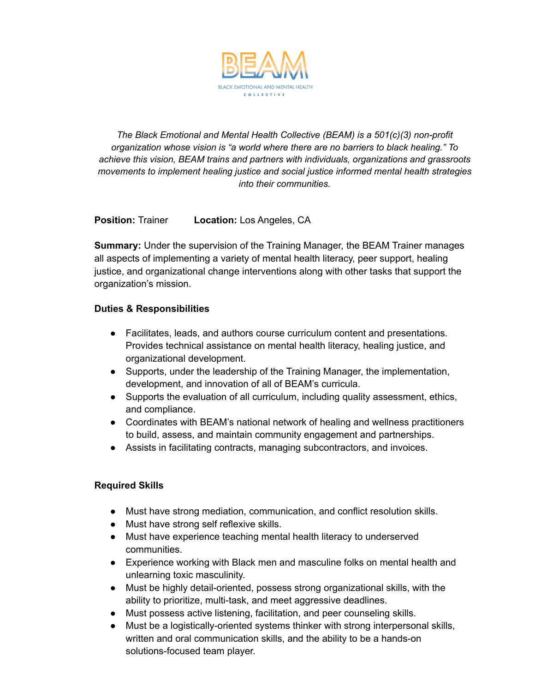

*The Black Emotional and Mental Health Collective (BEAM) is a 501(c)(3) non-profit organization whose vision is "a world where there are no barriers to black healing." To achieve this vision, BEAM trains and partners with individuals, organizations and grassroots movements to implement healing justice and social justice informed mental health strategies into their communities.*

## **Position:** Trainer **Location:** Los Angeles, CA

**Summary:** Under the supervision of the Training Manager, the BEAM Trainer manages all aspects of implementing a variety of mental health literacy, peer support, healing justice, and organizational change interventions along with other tasks that support the organization's mission.

## **Duties & Responsibilities**

- Facilitates, leads, and authors course curriculum content and presentations. Provides technical assistance on mental health literacy, healing justice, and organizational development.
- Supports, under the leadership of the Training Manager, the implementation, development, and innovation of all of BEAM's curricula.
- Supports the evaluation of all curriculum, including quality assessment, ethics, and compliance.
- Coordinates with BEAM's national network of healing and wellness practitioners to build, assess, and maintain community engagement and partnerships.
- Assists in facilitating contracts, managing subcontractors, and invoices.

# **Required Skills**

- Must have strong mediation, communication, and conflict resolution skills.
- Must have strong self reflexive skills.
- Must have experience teaching mental health literacy to underserved communities.
- Experience working with Black men and masculine folks on mental health and unlearning toxic masculinity.
- Must be highly detail-oriented, possess strong organizational skills, with the ability to prioritize, multi-task, and meet aggressive deadlines.
- Must possess active listening, facilitation, and peer counseling skills.
- Must be a logistically-oriented systems thinker with strong interpersonal skills, written and oral communication skills, and the ability to be a hands-on solutions-focused team player.